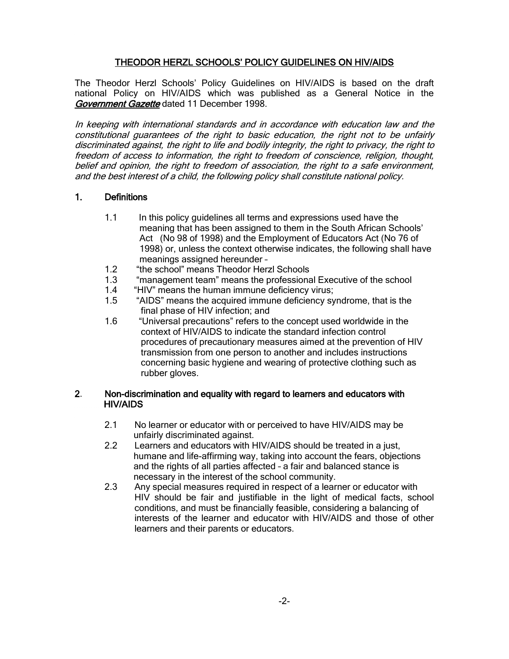# THEODOR HERZL SCHOOLS' POLICY GUIDELINES ON HIV/AIDS

The Theodor Herzl Schools' Policy Guidelines on HIV/AIDS is based on the draft national Policy on HIV/AIDS which was published as a General Notice in the Government Gazette dated 11 December 1998.

In keeping with international standards and in accordance with education law and the constitutional guarantees of the right to basic education, the right not to be unfairly discriminated against, the right to life and bodily integrity, the right to privacy, the right to freedom of access to information, the right to freedom of conscience, religion, thought, belief and opinion, the right to freedom of association, the right to a safe environment, and the best interest of a child, the following policy shall constitute national policy.

## 1. Definitions

- 1.1 In this policy guidelines all terms and expressions used have the meaning that has been assigned to them in the South African Schools' Act (No 98 of 1998) and the Employment of Educators Act (No 76 of 1998) or, unless the context otherwise indicates, the following shall have meanings assigned hereunder –
- 1.2 "the school" means Theodor Herzl Schools
- 1.3 "management team" means the professional Executive of the school
- 1.4 "HIV" means the human immune deficiency virus;
- 1.5 "AIDS" means the acquired immune deficiency syndrome, that is the final phase of HIV infection; and
- 1.6 "Universal precautions" refers to the concept used worldwide in the context of HIV/AIDS to indicate the standard infection control procedures of precautionary measures aimed at the prevention of HIV transmission from one person to another and includes instructions concerning basic hygiene and wearing of protective clothing such as rubber gloves.

#### 2. Non-discrimination and equality with regard to learners and educators with HIV/AIDS

- 2.1 No learner or educator with or perceived to have HIV/AIDS may be unfairly discriminated against.<br>2.2 Learners and educators with F
- Learners and educators with HIV/AIDS should be treated in a just, humane and life-affirming way, taking into account the fears, objections and the rights of all parties affected – a fair and balanced stance is necessary in the interest of the school community.
- 2.3 Any special measures required in respect of a learner or educator with HIV should be fair and justifiable in the light of medical facts, school conditions, and must be financially feasible, considering a balancing of interests of the learner and educator with HIV/AIDS and those of other learners and their parents or educators.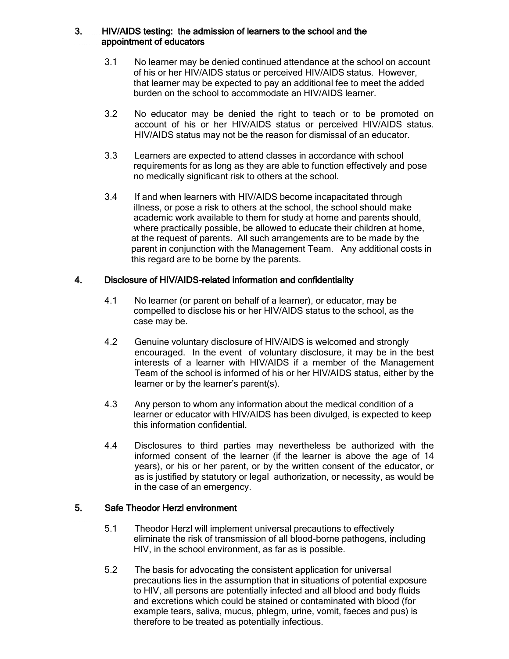### 3. HIV/AIDS testing: the admission of learners to the school and the appointment of educators

- 3.1 No learner may be denied continued attendance at the school on account of his or her HIV/AIDS status or perceived HIV/AIDS status. However, that learner may be expected to pay an additional fee to meet the added burden on the school to accommodate an HIV/AIDS learner.
- 3.2 No educator may be denied the right to teach or to be promoted on account of his or her HIV/AIDS status or perceived HIV/AIDS status. HIV/AIDS status may not be the reason for dismissal of an educator.
- 3.3 Learners are expected to attend classes in accordance with school requirements for as long as they are able to function effectively and pose no medically significant risk to others at the school.
- 3.4 If and when learners with HIV/AIDS become incapacitated through illness, or pose a risk to others at the school, the school should make academic work available to them for study at home and parents should, where practically possible, be allowed to educate their children at home, at the request of parents. All such arrangements are to be made by the parent in conjunction with the Management Team. Any additional costs in this regard are to be borne by the parents.

#### 4. Disclosure of HIV/AIDS-related information and confidentiality

- 4.1 No learner (or parent on behalf of a learner), or educator, may be compelled to disclose his or her HIV/AIDS status to the school, as the case may be.
- 4.2 Genuine voluntary disclosure of HIV/AIDS is welcomed and strongly encouraged. In the event of voluntary disclosure, it may be in the best interests of a learner with HIV/AIDS if a member of the Management Team of the school is informed of his or her HIV/AIDS status, either by the learner or by the learner's parent(s).
- 4.3 Any person to whom any information about the medical condition of a learner or educator with HIV/AIDS has been divulged, is expected to keep this information confidential.
- 4.4 Disclosures to third parties may nevertheless be authorized with the informed consent of the learner (if the learner is above the age of 14 years), or his or her parent, or by the written consent of the educator, or as is justified by statutory or legal authorization, or necessity, as would be in the case of an emergency.

### 5. Safe Theodor Herzl environment

- 5.1 Theodor Herzl will implement universal precautions to effectively eliminate the risk of transmission of all blood-borne pathogens, including HIV, in the school environment, as far as is possible.
- 5.2 The basis for advocating the consistent application for universal precautions lies in the assumption that in situations of potential exposure to HIV, all persons are potentially infected and all blood and body fluids and excretions which could be stained or contaminated with blood (for example tears, saliva, mucus, phlegm, urine, vomit, faeces and pus) is therefore to be treated as potentially infectious.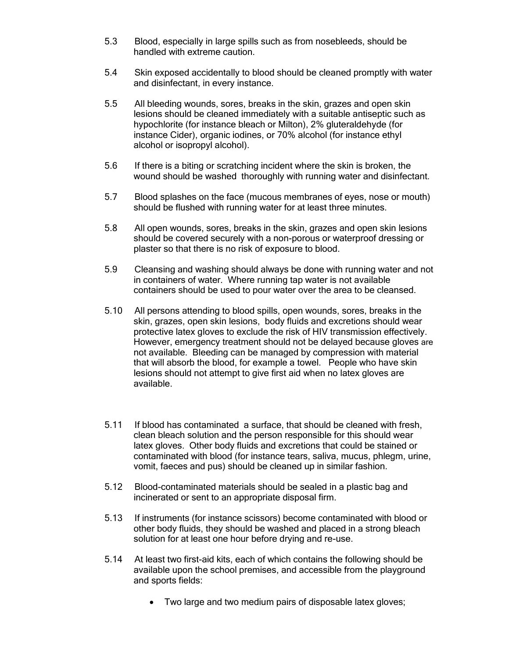- 5.3 Blood, especially in large spills such as from nosebleeds, should be handled with extreme caution.
- 5.4 Skin exposed accidentally to blood should be cleaned promptly with water and disinfectant, in every instance.
- 5.5 All bleeding wounds, sores, breaks in the skin, grazes and open skin lesions should be cleaned immediately with a suitable antiseptic such as hypochlorite (for instance bleach or Milton), 2% gluteraldehyde (for instance Cider), organic iodines, or 70% alcohol (for instance ethyl alcohol or isopropyl alcohol).
- 5.6 If there is a biting or scratching incident where the skin is broken, the wound should be washed thoroughly with running water and disinfectant.
- 5.7 Blood splashes on the face (mucous membranes of eyes, nose or mouth) should be flushed with running water for at least three minutes.
- 5.8 All open wounds, sores, breaks in the skin, grazes and open skin lesions should be covered securely with a non-porous or waterproof dressing or plaster so that there is no risk of exposure to blood.
- 5.9 Cleansing and washing should always be done with running water and not in containers of water. Where running tap water is not available containers should be used to pour water over the area to be cleansed.
- 5.10 All persons attending to blood spills, open wounds, sores, breaks in the skin, grazes, open skin lesions, body fluids and excretions should wear protective latex gloves to exclude the risk of HIV transmission effectively. However, emergency treatment should not be delayed because gloves are not available. Bleeding can be managed by compression with material that will absorb the blood, for example a towel. People who have skin lesions should not attempt to give first aid when no latex gloves are available.
- 5.11 If blood has contaminated a surface, that should be cleaned with fresh, clean bleach solution and the person responsible for this should wear latex gloves. Other body fluids and excretions that could be stained or contaminated with blood (for instance tears, saliva, mucus, phlegm, urine, vomit, faeces and pus) should be cleaned up in similar fashion.
- 5.12 Blood-contaminated materials should be sealed in a plastic bag and incinerated or sent to an appropriate disposal firm.
- 5.13 If instruments (for instance scissors) become contaminated with blood or other body fluids, they should be washed and placed in a strong bleach solution for at least one hour before drying and re-use.
- 5.14 At least two first-aid kits, each of which contains the following should be available upon the school premises, and accessible from the playground and sports fields:
	- Two large and two medium pairs of disposable latex gloves;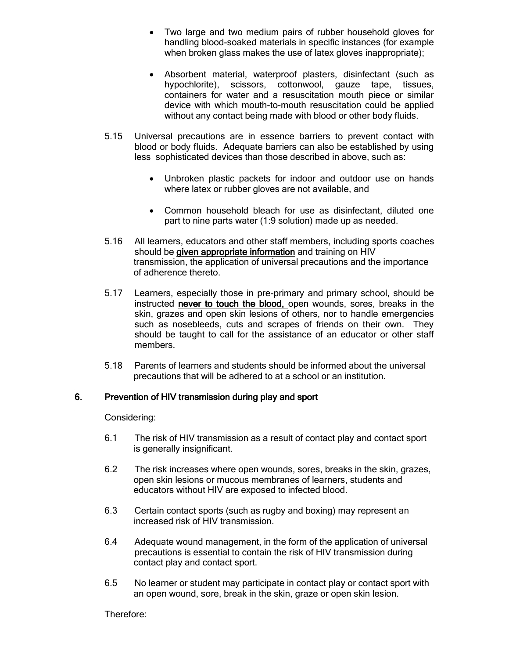- Two large and two medium pairs of rubber household gloves for handling blood-soaked materials in specific instances (for example when broken glass makes the use of latex gloves inappropriate);
- Absorbent material, waterproof plasters, disinfectant (such as hypochlorite), scissors, cottonwool, gauze tape, tissues, containers for water and a resuscitation mouth piece or similar device with which mouth-to-mouth resuscitation could be applied without any contact being made with blood or other body fluids.
- 5.15 Universal precautions are in essence barriers to prevent contact with blood or body fluids. Adequate barriers can also be established by using less sophisticated devices than those described in above, such as:
	- Unbroken plastic packets for indoor and outdoor use on hands where latex or rubber gloves are not available, and
	- Common household bleach for use as disinfectant, diluted one part to nine parts water (1:9 solution) made up as needed.
- 5.16 All learners, educators and other staff members, including sports coaches should be given appropriate information and training on HIV transmission, the application of universal precautions and the importance of adherence thereto.
- 5.17 Learners, especially those in pre-primary and primary school, should be instructed never to touch the blood, open wounds, sores, breaks in the skin, grazes and open skin lesions of others, nor to handle emergencies such as nosebleeds, cuts and scrapes of friends on their own. They should be taught to call for the assistance of an educator or other staff members.
- 5.18 Parents of learners and students should be informed about the universal precautions that will be adhered to at a school or an institution.

### 6. Prevention of HIV transmission during play and sport

Considering:

- 6.1 The risk of HIV transmission as a result of contact play and contact sport is generally insignificant.
- 6.2 The risk increases where open wounds, sores, breaks in the skin, grazes, open skin lesions or mucous membranes of learners, students and educators without HIV are exposed to infected blood.
- 6.3 Certain contact sports (such as rugby and boxing) may represent an increased risk of HIV transmission.
- 6.4 Adequate wound management, in the form of the application of universal precautions is essential to contain the risk of HIV transmission during contact play and contact sport.
- 6.5 No learner or student may participate in contact play or contact sport with an open wound, sore, break in the skin, graze or open skin lesion.

Therefore: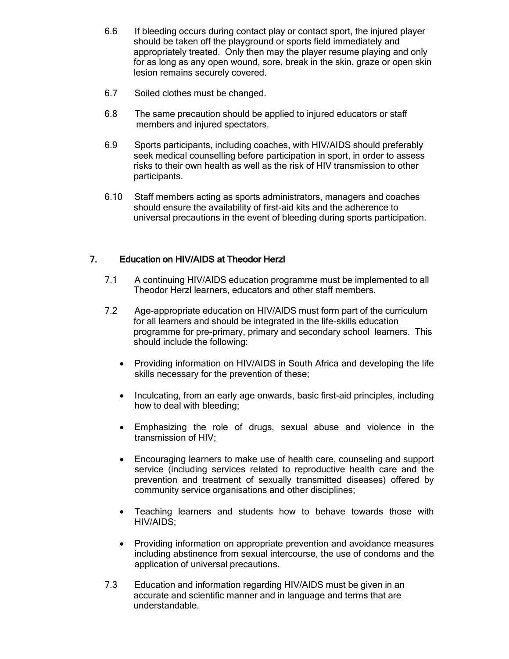- 6.6 If bleeding occurs during contact play or contact sport, the injured player should be taken off the playground or sports field immediately and appropriately treated. Only then may the player resume playing and only for as long as any open wound, sore, break in the skin, graze or open skin lesion remains securely covered.
- 6.7 Soiled clothes must be changed.
- 6.8 The same precaution should be applied to injured educators or staff members and injured spectators.
- 6.9 Sports participants, including coaches, with HIV/AIDS should preferably seek medical counselling before participation in sport, in order to assess risks to their own health as well as the risk of HIV transmission to other participants.
- 6.10 Staff members acting as sports administrators, managers and coaches should ensure the availability of first-aid kits and the adherence to universal precautions in the event of bleeding during sports participation.

# 7. Education on HIV/AIDS at Theodor Herzl

- 7.1 A continuing HIV/AIDS education programme must be implemented to all Theodor Herzl learners, educators and other staff members.
- 7.2 Age-appropriate education on HIV/AIDS must form part of the curriculum for all learners and should be integrated in the life-skills education programme for pre-primary, primary and secondary school learners. This should include the following:
	- Providing information on HIV/AIDS in South Africa and developing the life skills necessary for the prevention of these;
	- Inculcating, from an early age onwards, basic first-aid principles, including how to deal with bleeding;
	- Emphasizing the role of drugs, sexual abuse and violence in the transmission of HIV;
	- Encouraging learners to make use of health care, counseling and support service (including services related to reproductive health care and the prevention and treatment of sexually transmitted diseases) offered by community service organisations and other disciplines;
	- Teaching learners and students how to behave towards those with HIV/AIDS;
	- Providing information on appropriate prevention and avoidance measures including abstinence from sexual intercourse, the use of condoms and the application of universal precautions.
- 7.3 Education and information regarding HIV/AIDS must be given in an accurate and scientific manner and in language and terms that are understandable.